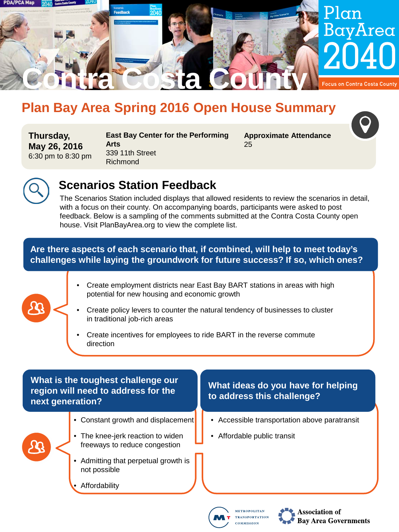

# **Plan Bay Area Spring 2016 Open House Summary**

**Thursday, May 26, 2016** 6:30 pm to 8:30 pm **East Bay Center for the Performing Arts** 339 11th Street Richmond

**Approximate Attendance** 25





# **Scenarios Station Feedback**

The Scenarios Station included displays that allowed residents to review the scenarios in detail, with a focus on their county. On accompanying boards, participants were asked to post feedback. Below is a sampling of the comments submitted at the Contra Costa County open house. Visit PlanBayArea.org to view the complete list.

#### **Are there aspects of each scenario that, if combined, will help to meet today's challenges while laying the groundwork for future success? If so, which ones?**

- Create employment districts near East Bay BART stations in areas with high potential for new housing and economic growth
- Create policy levers to counter the natural tendency of businesses to cluster in traditional job-rich areas
- Create incentives for employees to ride BART in the reverse commute direction

#### **What is the toughest challenge our region will need to address for the next generation?**

- Constant growth and displacement
- The knee-jerk reaction to widen freeways to reduce congestion
- Admitting that perpetual growth is not possible
- **Affordability**

## **What ideas do you have for helping to address this challenge?**

- Accessible transportation above paratransit
- Affordable public transit





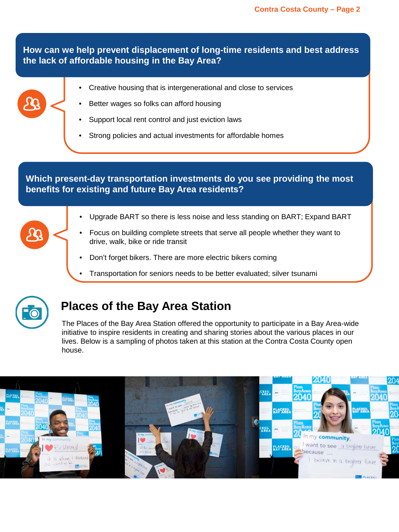**How can we help prevent displacement of long-time residents and best address the lack of affordable housing in the Bay Area?**

- Creative housing that is intergenerational and close to services
- Better wages so folks can afford housing
- Support local rent control and just eviction laws
- Strong policies and actual investments for affordable homes

#### **Which present-day transportation investments do you see providing the most benefits for existing and future Bay Area residents?**

- Upgrade BART so there is less noise and less standing on BART; Expand BART
- Focus on building complete streets that serve all people whether they want to drive, walk, bike or ride transit
- Don't forget bikers. There are more electric bikers coming
- Transportation for seniors needs to be better evaluated; silver tsunami



# **Places of the Bay Area Station**

The Places of the Bay Area Station offered the opportunity to participate in a Bay Area-wide initiative to inspire residents in creating and sharing stories about the various places in our lives. Below is a sampling of photos taken at this station at the Contra Costa County open house.

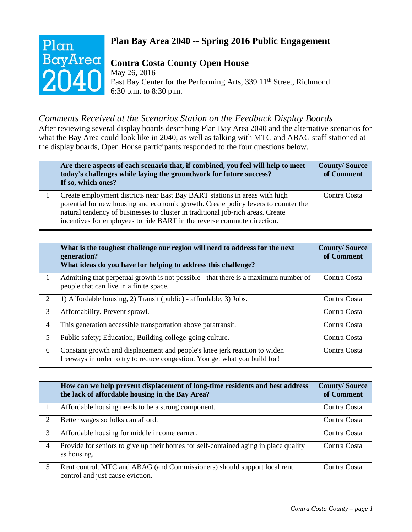

# **Plan Bay Area 2040 -- Spring 2016 Public Engagement**

# **Contra Costa County Open House**

May 26, 2016 East Bay Center for the Performing Arts, 339 11<sup>th</sup> Street, Richmond 6:30 p.m. to 8:30 p.m.

## *Comments Received at the Scenarios Station on the Feedback Display Boards*

After reviewing several display boards describing Plan Bay Area 2040 and the alternative scenarios for what the Bay Area could look like in 2040, as well as talking with MTC and ABAG staff stationed at the display boards, Open House participants responded to the four questions below.

| Are there aspects of each scenario that, if combined, you feel will help to meet<br>today's challenges while laying the groundwork for future success?<br>If so, which ones?                                                                                                                                                   | <b>County/Source</b><br>of Comment |
|--------------------------------------------------------------------------------------------------------------------------------------------------------------------------------------------------------------------------------------------------------------------------------------------------------------------------------|------------------------------------|
| Create employment districts near East Bay BART stations in areas with high<br>potential for new housing and economic growth. Create policy levers to counter the<br>natural tendency of businesses to cluster in traditional job-rich areas. Create<br>incentives for employees to ride BART in the reverse commute direction. | Contra Costa                       |

|                | What is the toughest challenge our region will need to address for the next<br>generation?<br>What ideas do you have for helping to address this challenge? | <b>County/Source</b><br>of Comment |
|----------------|-------------------------------------------------------------------------------------------------------------------------------------------------------------|------------------------------------|
|                | Admitting that perpetual growth is not possible - that there is a maximum number of<br>people that can live in a finite space.                              | Contra Costa                       |
| 2              | 1) Affordable housing, 2) Transit (public) - affordable, 3) Jobs.                                                                                           | Contra Costa                       |
| 3              | Affordability. Prevent sprawl.                                                                                                                              | Contra Costa                       |
| $\overline{4}$ | This generation accessible transportation above paratransit.                                                                                                | Contra Costa                       |
| 5              | Public safety; Education; Building college-going culture.                                                                                                   | Contra Costa                       |
| 6              | Constant growth and displacement and people's knee jerk reaction to widen<br>freeways in order to try to reduce congestion. You get what you build for!     | Contra Costa                       |

|   | How can we help prevent displacement of long-time residents and best address<br>the lack of affordable housing in the Bay Area? | <b>County/Source</b><br>of Comment |
|---|---------------------------------------------------------------------------------------------------------------------------------|------------------------------------|
|   | Affordable housing needs to be a strong component.                                                                              | Contra Costa                       |
| 2 | Better wages so folks can afford.                                                                                               | Contra Costa                       |
| 3 | Affordable housing for middle income earner.                                                                                    | Contra Costa                       |
| 4 | Provide for seniors to give up their homes for self-contained aging in place quality<br>ss housing.                             | Contra Costa                       |
| 5 | Rent control. MTC and ABAG (and Commissioners) should support local rent<br>control and just cause eviction.                    | Contra Costa                       |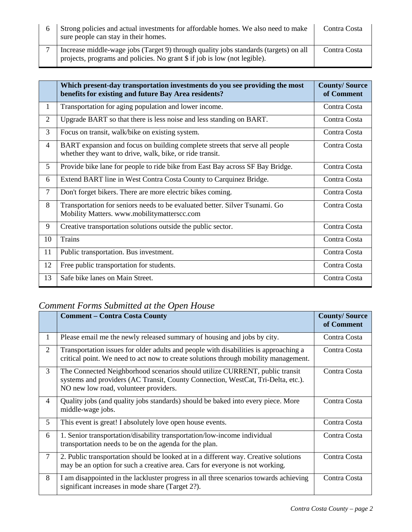| Strong policies and actual investments for affordable homes. We also need to make<br>sure people can stay in their homes.                                         | Contra Costa |
|-------------------------------------------------------------------------------------------------------------------------------------------------------------------|--------------|
| Increase middle-wage jobs (Target 9) through quality jobs standards (targets) on all<br>projects, programs and policies. No grant \$ if job is low (not legible). | Contra Costa |

|                | Which present-day transportation investments do you see providing the most<br>benefits for existing and future Bay Area residents?      | <b>County/Source</b><br>of Comment |
|----------------|-----------------------------------------------------------------------------------------------------------------------------------------|------------------------------------|
| $\mathbf{1}$   | Transportation for aging population and lower income.                                                                                   | Contra Costa                       |
| $\overline{2}$ | Upgrade BART so that there is less noise and less standing on BART.                                                                     | Contra Costa                       |
| 3              | Focus on transit, walk/bike on existing system.                                                                                         | Contra Costa                       |
| $\overline{4}$ | BART expansion and focus on building complete streets that serve all people<br>whether they want to drive, walk, bike, or ride transit. | Contra Costa                       |
| 5              | Provide bike lane for people to ride bike from East Bay across SF Bay Bridge.                                                           | Contra Costa                       |
| 6              | Extend BART line in West Contra Costa County to Carquinez Bridge.                                                                       | Contra Costa                       |
| $\overline{7}$ | Don't forget bikers. There are more electric bikes coming.                                                                              | Contra Costa                       |
| 8              | Transportation for seniors needs to be evaluated better. Silver Tsunami. Go<br>Mobility Matters. www.mobilitymatterscc.com              | Contra Costa                       |
| 9              | Creative transportation solutions outside the public sector.                                                                            | Contra Costa                       |
| 10             | <b>Trains</b>                                                                                                                           | Contra Costa                       |
| 11             | Public transportation. Bus investment.                                                                                                  | Contra Costa                       |
| 12             | Free public transportation for students.                                                                                                | Contra Costa                       |
| 13             | Safe bike lanes on Main Street.                                                                                                         | Contra Costa                       |

# *Comment Forms Submitted at the Open House*

|                | <b>Comment – Contra Costa County</b>                                                                                                                                                                     | <b>County/Source</b><br>of Comment |
|----------------|----------------------------------------------------------------------------------------------------------------------------------------------------------------------------------------------------------|------------------------------------|
| 1              | Please email me the newly released summary of housing and jobs by city.                                                                                                                                  | Contra Costa                       |
| $\overline{2}$ | Transportation issues for older adults and people with disabilities is approaching a<br>critical point. We need to act now to create solutions through mobility management.                              | Contra Costa                       |
| 3              | The Connected Neighborhood scenarios should utilize CURRENT, public transit<br>systems and providers (AC Transit, County Connection, WestCat, Tri-Delta, etc.).<br>NO new low road, volunteer providers. | Contra Costa                       |
| $\overline{4}$ | Quality jobs (and quality jobs standards) should be baked into every piece. More<br>middle-wage jobs.                                                                                                    | Contra Costa                       |
| 5              | This event is great! I absolutely love open house events.                                                                                                                                                | Contra Costa                       |
| 6              | 1. Senior transportation/disability transportation/low-income individual<br>transportation needs to be on the agenda for the plan.                                                                       | Contra Costa                       |
| $\overline{7}$ | 2. Public transportation should be looked at in a different way. Creative solutions<br>may be an option for such a creative area. Cars for everyone is not working.                                      | Contra Costa                       |
| 8              | I am disappointed in the lackluster progress in all three scenarios towards achieving<br>significant increases in mode share (Target 2?).                                                                | Contra Costa                       |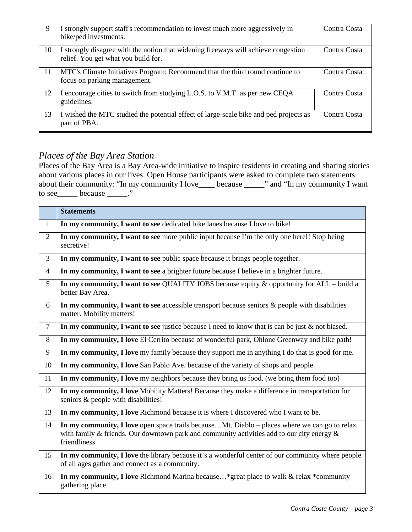| 9  | I strongly support staff's recommendation to invest much more aggressively in<br>bike/ped investments.                    | Contra Costa |
|----|---------------------------------------------------------------------------------------------------------------------------|--------------|
| 10 | I strongly disagree with the notion that widening freeways will achieve congestion<br>relief. You get what you build for. | Contra Costa |
| 11 | MTC's Climate Initiatives Program: Recommend that the third round continue to<br>focus on parking management.             | Contra Costa |
| 12 | I encourage cities to switch from studying L.O.S. to V.M.T. as per new CEQA<br>guidelines.                                | Contra Costa |
| 13 | I wished the MTC studied the potential effect of large-scale bike and ped projects as<br>part of PBA.                     | Contra Costa |

#### *Places of the Bay Area Station*

Places of the Bay Area is a Bay Area-wide initiative to inspire residents in creating and sharing stories about various places in our lives. Open House participants were asked to complete two statements about their community: "In my community I love\_\_\_\_ because \_\_\_\_\_" and "In my community I want to see  $\_\_\_\_\_\_\_\_\_\_\_\_\_\_\$ 

|                | <b>Statements</b>                                                                                                                                                                                            |
|----------------|--------------------------------------------------------------------------------------------------------------------------------------------------------------------------------------------------------------|
| $\mathbf{1}$   | In my community, I want to see dedicated bike lanes because I love to bike!                                                                                                                                  |
| $\overline{2}$ | In my community, I want to see more public input because I'm the only one here!! Stop being<br>secretive!                                                                                                    |
| $\overline{3}$ | In my community, I want to see public space because it brings people together.                                                                                                                               |
| $\overline{4}$ | In my community, I want to see a brighter future because I believe in a brighter future.                                                                                                                     |
| 5              | In my community, I want to see QUALITY JOBS because equity & opportunity for ALL - build a<br>better Bay Area.                                                                                               |
| 6              | In my community, I want to see accessible transport because seniors $\&$ people with disabilities<br>matter. Mobility matters!                                                                               |
| $\overline{7}$ | In my community, I want to see justice because I need to know that is can be just $\&$ not biased.                                                                                                           |
| 8              | In my community, I love El Cerrito because of wonderful park, Ohlone Greenway and bike path!                                                                                                                 |
| 9              | In my community, I love my family because they support me in anything I do that is good for me.                                                                                                              |
| 10             | In my community, I love San Pablo Ave. because of the variety of shops and people.                                                                                                                           |
| 11             | In my community, I love my neighbors because they bring us food. (we bring them food too)                                                                                                                    |
| 12             | In my community, I love Mobility Matters! Because they make a difference in transportation for<br>seniors & people with disabilities!                                                                        |
| 13             | In my community, I love Richmond because it is where I discovered who I want to be.                                                                                                                          |
| 14             | In my community, I love open space trails becauseMt. Diablo – places where we can go to relax<br>with family & friends. Our downtown park and community activities add to our city energy &<br>friendliness. |
| 15             | In my community, I love the library because it's a wonderful center of our community where people<br>of all ages gather and connect as a community.                                                          |
| 16             | In my community, I love Richmond Marina because* great place to walk & relax *community<br>gathering place                                                                                                   |